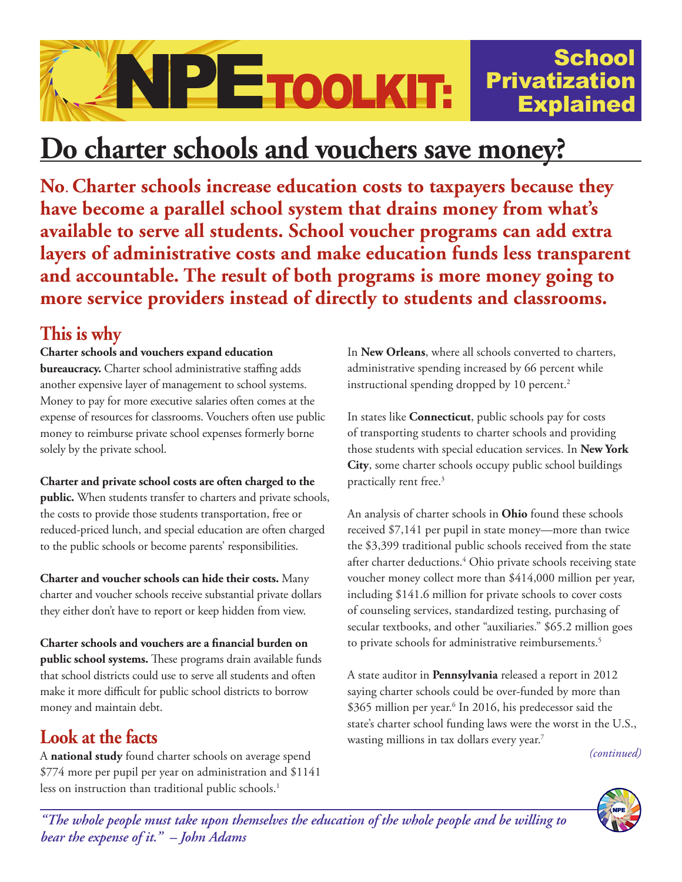

# **Do charter schools and vouchers save money?**

**No**. **Charter schools increase education costs to taxpayers because they have become a parallel school system that drains money from what's available to serve all students. School voucher programs can add extra layers of administrative costs and make education funds less transparent and accountable. The result of both programs is more money going to more service providers instead of directly to students and classrooms.**

### **This is why**

#### **Charter schools and vouchers expand education**

**bureaucracy.** Charter school administrative staffing adds another expensive layer of management to school systems. Money to pay for more executive salaries often comes at the expense of resources for classrooms. Vouchers often use public money to reimburse private school expenses formerly borne solely by the private school.

**Charter and private school costs are often charged to the public.** When students transfer to charters and private schools, the costs to provide those students transportation, free or reduced-priced lunch, and special education are often charged to the public schools or become parents' responsibilities.

**Charter and voucher schools can hide their costs.** Many charter and voucher schools receive substantial private dollars they either don't have to report or keep hidden from view.

**Charter schools and vouchers are a financial burden on public school systems.** These programs drain available funds that school districts could use to serve all students and often make it more difficult for public school districts to borrow money and maintain debt.

## **Look at the facts**

A **national study** found charter schools on average spend \$774 more per pupil per year on administration and \$1141 less on instruction than traditional public schools.<sup>1</sup>

In **New Orleans**, where all schools converted to charters, administrative spending increased by 66 percent while instructional spending dropped by 10 percent.<sup>2</sup>

In states like **Connecticut**, public schools pay for costs of transporting students to charter schools and providing those students with special education services. In **New York City**, some charter schools occupy public school buildings practically rent free.<sup>3</sup>

An analysis of charter schools in **Ohio** found these schools received \$7,141 per pupil in state money—more than twice the \$3,399 traditional public schools received from the state after charter deductions.4 Ohio private schools receiving state voucher money collect more than \$414,000 million per year, including \$141.6 million for private schools to cover costs of counseling services, standardized testing, purchasing of secular textbooks, and other "auxiliaries." \$65.2 million goes to private schools for administrative reimbursements.<sup>5</sup>

A state auditor in **Pennsylvania** released a report in 2012 saying charter schools could be over-funded by more than \$365 million per year.<sup>6</sup> In 2016, his predecessor said the state's charter school funding laws were the worst in the U.S., wasting millions in tax dollars every year.<sup>7</sup>

*(continued)*